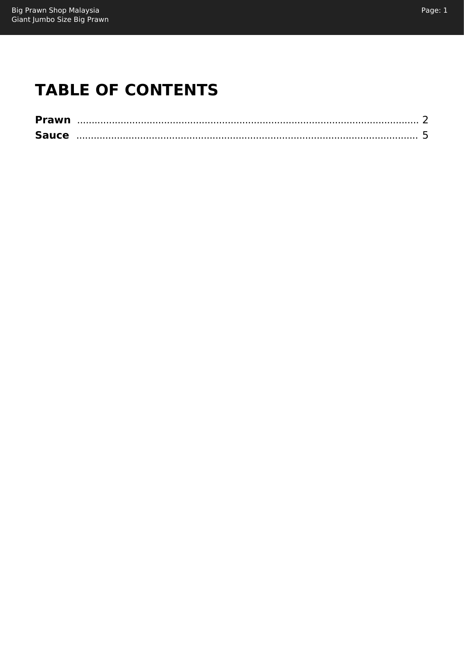# **TABLE OF CONTENTS**

| <b>Prawn</b> |  |
|--------------|--|
| <b>Sauce</b> |  |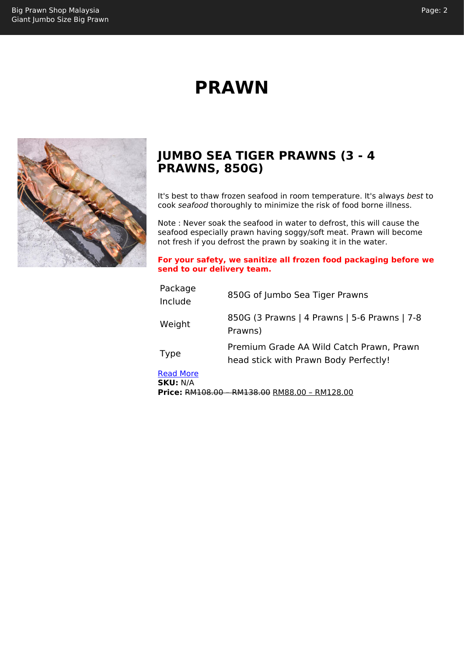# **PRAWN**

<span id="page-1-1"></span><span id="page-1-0"></span>

# **JUMBO SEA TIGER PRAWNS (3 - 4 PRAWNS, 850G)**

It's best to thaw frozen seafood in room temperature. It's always best to cook seafood thoroughly to minimize the risk of food borne illness.

Note : Never soak the seafood in water to defrost, this will cause the seafood especially prawn having soggy/soft meat. Prawn will become not fresh if you defrost the prawn by soaking it in the water.

#### **For your safety, we sanitize all frozen food packaging before we send to our delivery team.**

| Package<br>Include | 850G of Jumbo Sea Tiger Prawns                                                    |
|--------------------|-----------------------------------------------------------------------------------|
| Weight             | 850G (3 Prawns   4 Prawns   5-6 Prawns   7-8<br>Prawns)                           |
| <b>Type</b>        | Premium Grade AA Wild Catch Prawn, Prawn<br>head stick with Prawn Body Perfectly! |
| <b>Read More</b>   |                                                                                   |

**SKU:** N/A

**Price:** RM108.00 – RM138.00 RM88.00 – RM128.00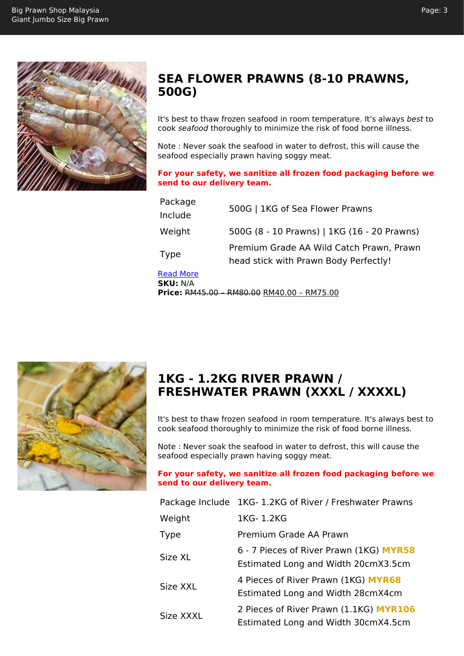<span id="page-2-0"></span>

## **SEA FLOWER PRAWNS (8-10 PRAWNS, 500G)**

It's best to thaw frozen seafood in room temperature. It's always best to cook seafood thoroughly to minimize the risk of food borne illness.

Note : Never soak the seafood in water to defrost, this will cause the seafood especially prawn having soggy meat.

### **For your safety, we sanitize all frozen food packaging before we send to our delivery team.**

| Package<br>Include | 500G   1KG of Sea Flower Prawns                                                   |
|--------------------|-----------------------------------------------------------------------------------|
| Weight             | 500G (8 - 10 Prawns)   1KG (16 - 20 Prawns)                                       |
| <b>Type</b>        | Premium Grade AA Wild Catch Prawn, Prawn<br>head stick with Prawn Body Perfectly! |
| <b>Read More</b>   |                                                                                   |

**SKU:** N/A

**Price:** RM45.00 – RM80.00 RM40.00 – RM75.00



# **1KG - 1.2KG RIVER PRAWN / FRESHWATER PRAWN (XXXL / XXXXL)**

It's best to thaw frozen seafood in room temperature. It's always best to cook seafood thoroughly to minimize the risk of food borne illness.

Note : Never soak the seafood in water to defrost, this will cause the seafood especially prawn having soggy meat.

**For your safety, we sanitize all frozen food packaging before we send to our delivery team.**

|             | Package Include 1KG-1.2KG of River / Freshwater Prawns                         |
|-------------|--------------------------------------------------------------------------------|
| Weight      | 1KG-1.2KG                                                                      |
| <b>Type</b> | Premium Grade AA Prawn                                                         |
| Size XL     | 6 - 7 Pieces of River Prawn (1KG) MYR58<br>Estimated Long and Width 20cmX3.5cm |
| Size XXL    | 4 Pieces of River Prawn (1KG) MYR68<br>Estimated Long and Width 28cmX4cm       |
| Size XXXL   | 2 Pieces of River Prawn (1.1KG) MYR106<br>Estimated Long and Width 30cmX4.5cm  |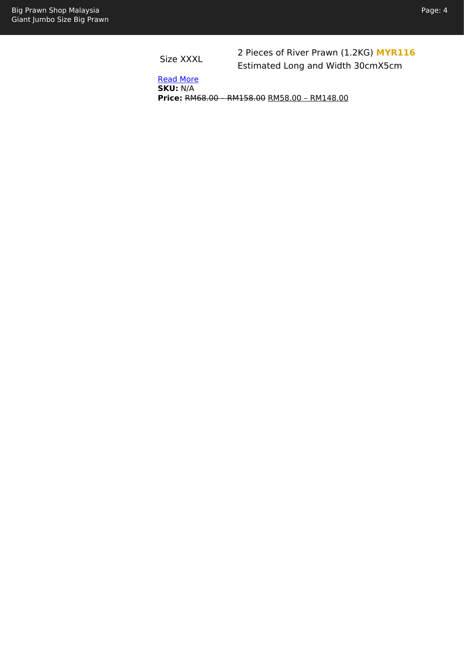Size XXXL

2 Pieces of River Prawn (1.2KG) **MYR116** Estimated Long and Width 30cmX5cm

[Read More](https://www.bigprawn.shop/product/frozen-xxxl-river-prawn-freshwater-prawn/?utm_source=file&utm_medium=PDF&utm_campaign=complete-en&utm_term=1KG+-+1.2KG+River+Prawn+%2F+Freshwater+Prawn+%28XXXL+%2F+XXXXL%29) **SKU:** N/A **Price:** RM68.00 – RM158.00 RM58.00 – RM148.00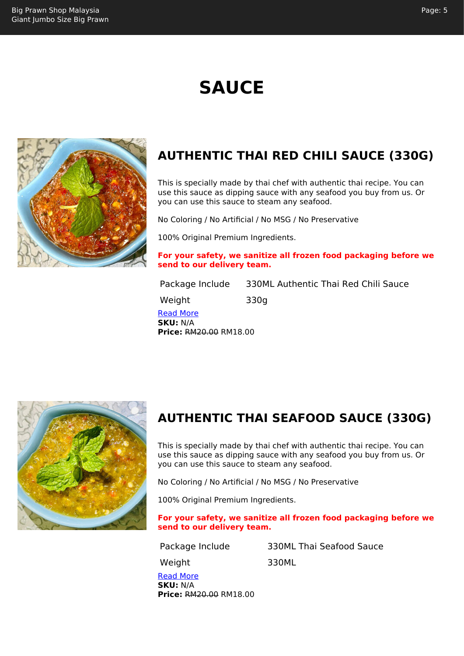# **SAUCE**

<span id="page-4-1"></span><span id="page-4-0"></span>

# **AUTHENTIC THAI RED CHILI SAUCE (330G)**

This is specially made by thai chef with authentic thai recipe. You can use this sauce as dipping sauce with any seafood you buy from us. Or you can use this sauce to steam any seafood.

No Coloring / No Artificial / No MSG / No Preservative

100% Original Premium Ingredients.

**For your safety, we sanitize all frozen food packaging before we send to our delivery team.**

Package Include 330ML Authentic Thai Red Chili Sauce

Weight 330g

[Read More](https://www.bigprawn.shop/product/authentic-thai-red-chili-sauce-330g/?utm_source=file&utm_medium=PDF&utm_campaign=complete-en&utm_term=Authentic+Thai+Red+Chili+Sauce+%28330G%29) **SKU:** N/A **Price:** RM20.00 RM18.00



# **AUTHENTIC THAI SEAFOOD SAUCE (330G)**

This is specially made by thai chef with authentic thai recipe. You can use this sauce as dipping sauce with any seafood you buy from us. Or you can use this sauce to steam any seafood.

No Coloring / No Artificial / No MSG / No Preservative

100% Original Premium Ingredients.

**For your safety, we sanitize all frozen food packaging before we send to our delivery team.**

Package Include 330ML Thai Seafood Sauce Weight 330ML

[Read More](https://www.bigprawn.shop/product/authentic-thai-seafood-sauce/?utm_source=file&utm_medium=PDF&utm_campaign=complete-en&utm_term=Authentic+Thai+Seafood+Sauce+%28330G%29) **SKU:** N/A **Price:** RM20.00 RM18.00